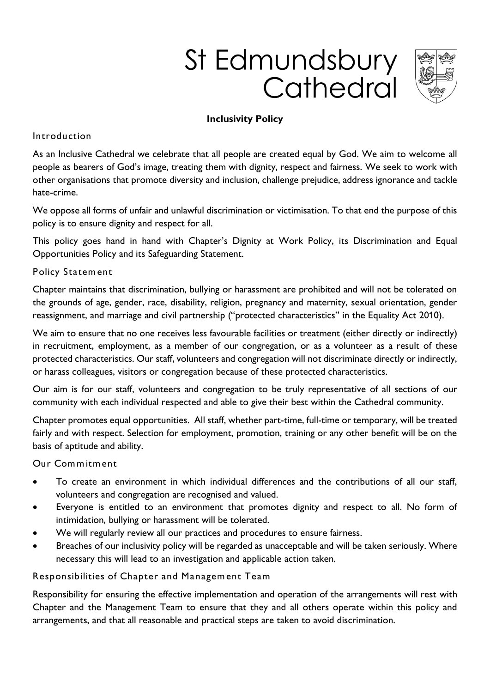# St Edmundsbury Cathedral



## **Inclusivity Policy**

### **Introduction**

**As an Inclusive Cathedral we celebrate that all people are created equal by God. We aim to welcome all people as bearers of God's image, treating them with dignity, respect and fairness. We seek to work with other organisations that promote diversity and inclusion, challenge prejudice, address ignorance and tackle hate-crime.** 

**We oppose all forms of unfair and unlawful discrimination or victimisation. To that end the purpose of this policy is to ensure dignity and respect for all.**

**This policy goes hand in hand with Chapter's Dignity at Work Policy, its Discrimination and Equal Opportunities Policy and its Safeguarding Statement.** 

## **Policy Statem ent**

**Chapter maintains that discrimination, bullying or harassment are prohibited and will not be tolerated on the grounds of age, gender, race, disability, religion, pregnancy and maternity, sexual orientation, gender reassignment, and marriage and civil partnership ("protected characteristics" in the Equality Act 2010).** 

**We aim to ensure that no one receives less favourable facilities or treatment (either directly or indirectly) in recruitment, employment, as a member of our congregation, or as a volunteer as a result of these protected characteristics. Our staff, volunteers and congregation will not discriminate directly or indirectly, or harass colleagues, visitors or congregation because of these protected characteristics.**

**Our aim is for our staff, volunteers and congregation to be truly representative of all sections of our community with each individual respected and able to give their best within the Cathedral community.**

**Chapter promotes equal opportunities. All staff, whether part-time, full-time or temporary, will be treated fairly and with respect. Selection for employment, promotion, training or any other benefit will be on the basis of aptitude and ability.** 

### **Our Com m itm ent**

- **To create an environment in which individual differences and the contributions of all our staff, volunteers and congregation are recognised and valued.**
- **Everyone is entitled to an environment that promotes dignity and respect to all. No form of intimidation, bullying or harassment will be tolerated.**
- **We will regularly review all our practices and procedures to ensure fairness.**
- **Breaches of our inclusivity policy will be regarded as unacceptable and will be taken seriously. Where necessary this will lead to an investigation and applicable action taken.**

**Responsibilities of Chapter and Managem ent Team**

**Responsibility for ensuring the effective implementation and operation of the arrangements will rest with Chapter and the Management Team to ensure that they and all others operate within this policy and arrangements, and that all reasonable and practical steps are taken to avoid discrimination.**